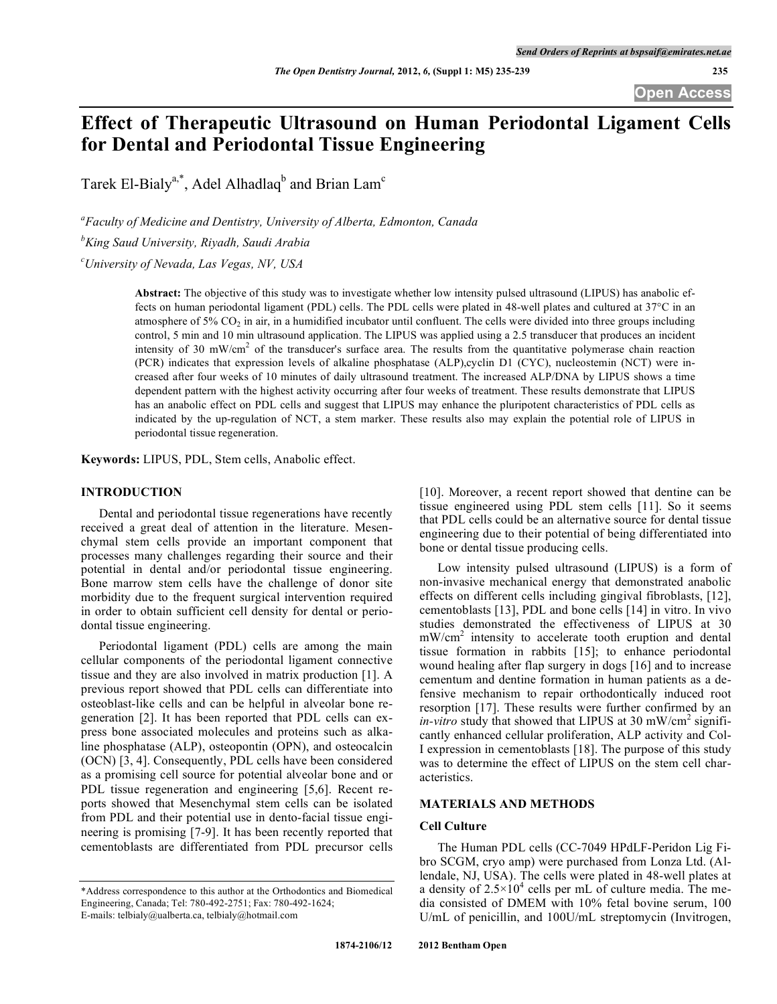# **Effect of Therapeutic Ultrasound on Human Periodontal Ligament Cells for Dental and Periodontal Tissue Engineering**

Tarek El-Bialy<sup>a,\*</sup>, Adel Alhadlaq<sup>b</sup> and Brian Lam<sup>c</sup>

*a Faculty of Medicine and Dentistry, University of Alberta, Edmonton, Canada b King Saud University, Riyadh, Saudi Arabia*

*c University of Nevada, Las Vegas, NV, USA*

**Abstract:** The objective of this study was to investigate whether low intensity pulsed ultrasound (LIPUS) has anabolic effects on human periodontal ligament (PDL) cells. The PDL cells were plated in 48-well plates and cultured at 37°C in an atmosphere of  $5\%$  CO<sub>2</sub> in air, in a humidified incubator until confluent. The cells were divided into three groups including control, 5 min and 10 min ultrasound application. The LIPUS was applied using a 2.5 transducer that produces an incident intensity of 30 mW/cm<sup>2</sup> of the transducer's surface area. The results from the quantitative polymerase chain reaction (PCR) indicates that expression levels of alkaline phosphatase (ALP),cyclin D1 (CYC), nucleostemin (NCT) were increased after four weeks of 10 minutes of daily ultrasound treatment. The increased ALP/DNA by LIPUS shows a time dependent pattern with the highest activity occurring after four weeks of treatment. These results demonstrate that LIPUS has an anabolic effect on PDL cells and suggest that LIPUS may enhance the pluripotent characteristics of PDL cells as indicated by the up-regulation of NCT, a stem marker. These results also may explain the potential role of LIPUS in periodontal tissue regeneration.

**Keywords:** LIPUS, PDL, Stem cells, Anabolic effect.

## **INTRODUCTION**

Dental and periodontal tissue regenerations have recently received a great deal of attention in the literature. Mesenchymal stem cells provide an important component that processes many challenges regarding their source and their potential in dental and/or periodontal tissue engineering. Bone marrow stem cells have the challenge of donor site morbidity due to the frequent surgical intervention required in order to obtain sufficient cell density for dental or periodontal tissue engineering.

Periodontal ligament (PDL) cells are among the main cellular components of the periodontal ligament connective tissue and they are also involved in matrix production [1]. A previous report showed that PDL cells can differentiate into osteoblast-like cells and can be helpful in alveolar bone regeneration [2]. It has been reported that PDL cells can express bone associated molecules and proteins such as alkaline phosphatase (ALP), osteopontin (OPN), and osteocalcin (OCN) [3, 4]. Consequently, PDL cells have been considered as a promising cell source for potential alveolar bone and or PDL tissue regeneration and engineering [5,6]. Recent reports showed that Mesenchymal stem cells can be isolated from PDL and their potential use in dento-facial tissue engineering is promising [7-9]. It has been recently reported that cementoblasts are differentiated from PDL precursor cells

[10]. Moreover, a recent report showed that dentine can be tissue engineered using PDL stem cells [11]. So it seems that PDL cells could be an alternative source for dental tissue engineering due to their potential of being differentiated into bone or dental tissue producing cells.

Low intensity pulsed ultrasound (LIPUS) is a form of non-invasive mechanical energy that demonstrated anabolic effects on different cells including gingival fibroblasts, [12], cementoblasts [13], PDL and bone cells [14] in vitro. In vivo studies demonstrated the effectiveness of LIPUS at 30 mW/cm<sup>2</sup> intensity to accelerate tooth eruption and dental tissue formation in rabbits [15]; to enhance periodontal wound healing after flap surgery in dogs [16] and to increase cementum and dentine formation in human patients as a defensive mechanism to repair orthodontically induced root resorption [17]. These results were further confirmed by an *in-vitro* study that showed that LIPUS at 30 mW/cm<sup>2</sup> significantly enhanced cellular proliferation, ALP activity and Col-I expression in cementoblasts [18]. The purpose of this study was to determine the effect of LIPUS on the stem cell characteristics.

# **MATERIALS AND METHODS**

# **Cell Culture**

The Human PDL cells (CC-7049 HPdLF-Peridon Lig Fibro SCGM, cryo amp) were purchased from Lonza Ltd. (Allendale, NJ, USA). The cells were plated in 48-well plates at a density of  $2.5 \times 10^4$  cells per mL of culture media. The media consisted of DMEM with 10% fetal bovine serum, 100 U/mL of penicillin, and 100U/mL streptomycin (Invitrogen,

<sup>\*</sup>Address correspondence to this author at the Orthodontics and Biomedical Engineering, Canada; Tel: 780-492-2751; Fax: 780-492-1624; E-mails: telbialy@ualberta.ca, telbialy@hotmail.com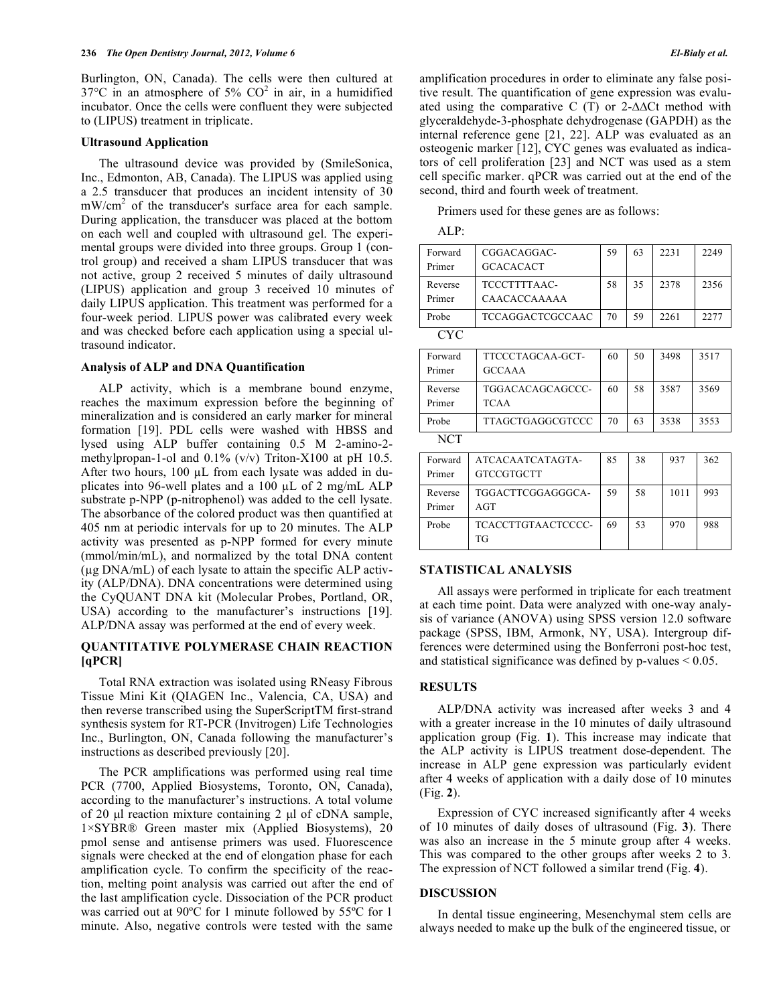Burlington, ON, Canada). The cells were then cultured at  $37^{\circ}$ C in an atmosphere of 5% CO<sup>2</sup> in air, in a humidified incubator. Once the cells were confluent they were subjected to (LIPUS) treatment in triplicate.

#### **Ultrasound Application**

The ultrasound device was provided by (SmileSonica, Inc., Edmonton, AB, Canada). The LIPUS was applied using a 2.5 transducer that produces an incident intensity of 30 mW/cm<sup>2</sup> of the transducer's surface area for each sample. During application, the transducer was placed at the bottom on each well and coupled with ultrasound gel. The experimental groups were divided into three groups. Group 1 (control group) and received a sham LIPUS transducer that was not active, group 2 received 5 minutes of daily ultrasound (LIPUS) application and group 3 received 10 minutes of daily LIPUS application. This treatment was performed for a four-week period. LIPUS power was calibrated every week and was checked before each application using a special ultrasound indicator.

#### **Analysis of ALP and DNA Quantification**

ALP activity, which is a membrane bound enzyme, reaches the maximum expression before the beginning of mineralization and is considered an early marker for mineral formation [19]. PDL cells were washed with HBSS and lysed using ALP buffer containing 0.5 M 2-amino-2 methylpropan-1-ol and 0.1% (v/v) Triton-X100 at pH 10.5. After two hours, 100 µL from each lysate was added in duplicates into 96-well plates and a 100 µL of 2 mg/mL ALP substrate p-NPP (p-nitrophenol) was added to the cell lysate. The absorbance of the colored product was then quantified at 405 nm at periodic intervals for up to 20 minutes. The ALP activity was presented as p-NPP formed for every minute (mmol/min/mL), and normalized by the total DNA content (µg DNA/mL) of each lysate to attain the specific ALP activity (ALP/DNA). DNA concentrations were determined using the CyQUANT DNA kit (Molecular Probes, Portland, OR, USA) according to the manufacturer's instructions [19]. ALP/DNA assay was performed at the end of every week.

# **QUANTITATIVE POLYMERASE CHAIN REACTION [qPCR]**

Total RNA extraction was isolated using RNeasy Fibrous Tissue Mini Kit (QIAGEN Inc., Valencia, CA, USA) and then reverse transcribed using the SuperScriptTM first-strand synthesis system for RT-PCR (Invitrogen) Life Technologies Inc., Burlington, ON, Canada following the manufacturer's instructions as described previously [20].

The PCR amplifications was performed using real time PCR (7700, Applied Biosystems, Toronto, ON, Canada), according to the manufacturer's instructions. A total volume of 20 µl reaction mixture containing 2 µl of cDNA sample, 1×SYBR® Green master mix (Applied Biosystems), 20 pmol sense and antisense primers was used. Fluorescence signals were checked at the end of elongation phase for each amplification cycle. To confirm the specificity of the reaction, melting point analysis was carried out after the end of the last amplification cycle. Dissociation of the PCR product was carried out at 90ºC for 1 minute followed by 55ºC for 1 minute. Also, negative controls were tested with the same

amplification procedures in order to eliminate any false positive result. The quantification of gene expression was evaluated using the comparative C (T) or 2-∆∆Ct method with glyceraldehyde-3-phosphate dehydrogenase (GAPDH) as the internal reference gene [21, 22]. ALP was evaluated as an osteogenic marker [12], CYC genes was evaluated as indicators of cell proliferation [23] and NCT was used as a stem cell specific marker. qPCR was carried out at the end of the second, third and fourth week of treatment.

Primers used for these genes are as follows:

ALP:

| Forward<br>Primer | CGGACAGGAC-<br><b>GCACACACT</b>   | 59 | 63 | 2231 | 2249 |
|-------------------|-----------------------------------|----|----|------|------|
| Reverse<br>Primer | TCCCTTTTAAC-<br>CAACACCAAAAA      | 58 | 35 | 2378 | 2356 |
| Probe             | TCCAGGACTCGCCAAC                  | 70 | 59 | 2261 | 2277 |
| CYC               |                                   |    |    |      |      |
| Forward<br>Primer | TTCCCTAGCAA-GCT-<br><b>GCCAAA</b> | 60 | 50 | 3498 | 3517 |
| Reverse<br>Primer | TGGACACAGCAGCCC-<br><b>TCAA</b>   | 60 | 58 | 3587 | 3569 |
| Probe             | <b>TTAGCTGAGGCGTCCC</b>           | 70 | 63 | 3538 | 3553 |
| NCT               |                                   |    |    |      |      |
| Forward<br>Primer | ATCACAATCATAGTA-<br>GTCCGTGCTT    | 85 | 38 | 937  | 362  |
| Reverse<br>Primer | TGGACTTCGGAGGGCA-<br>AGT          | 59 | 58 | 1011 | 993  |

#### **STATISTICAL ANALYSIS**

TG

Probe TCACCTTGTAACTCCCC-

All assays were performed in triplicate for each treatment at each time point. Data were analyzed with one-way analysis of variance (ANOVA) using SPSS version 12.0 software package (SPSS, IBM, Armonk, NY, USA). Intergroup differences were determined using the Bonferroni post-hoc test, and statistical significance was defined by p-values < 0.05.

69 53 970 988

# **RESULTS**

ALP/DNA activity was increased after weeks 3 and 4 with a greater increase in the 10 minutes of daily ultrasound application group (Fig. **1**). This increase may indicate that the ALP activity is LIPUS treatment dose-dependent. The increase in ALP gene expression was particularly evident after 4 weeks of application with a daily dose of 10 minutes (Fig. **2**).

Expression of CYC increased significantly after 4 weeks of 10 minutes of daily doses of ultrasound (Fig. **3**). There was also an increase in the 5 minute group after 4 weeks. This was compared to the other groups after weeks 2 to 3. The expression of NCT followed a similar trend (Fig. **4**).

## **DISCUSSION**

In dental tissue engineering, Mesenchymal stem cells are always needed to make up the bulk of the engineered tissue, or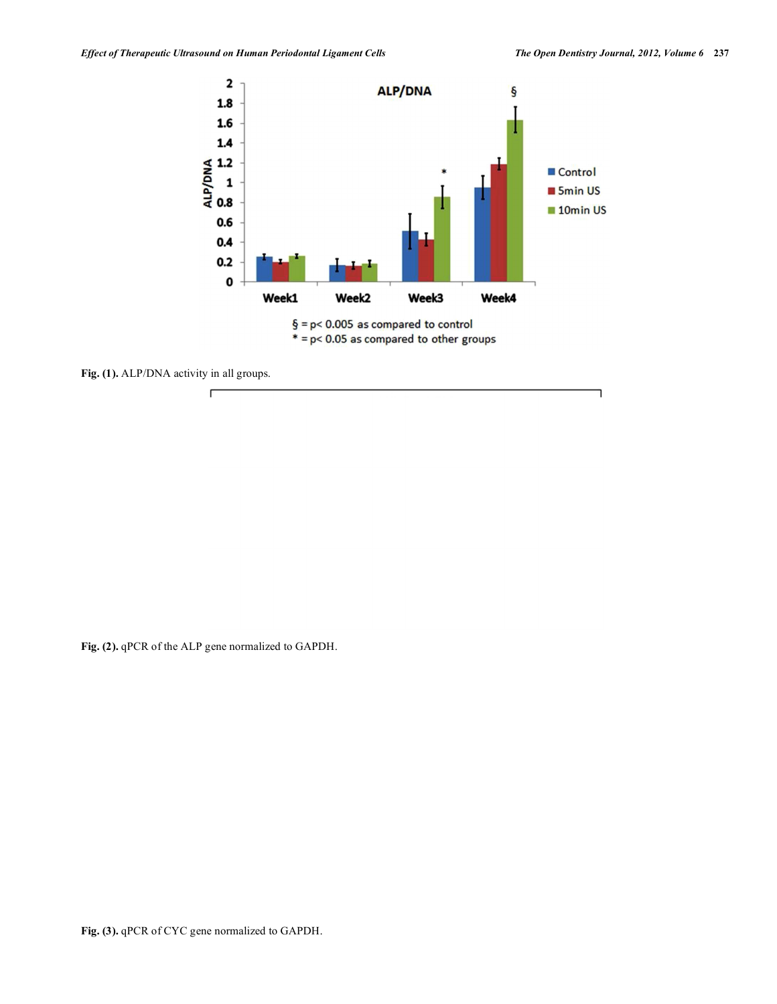

Fig. (1). ALP/DNA activity in all groups.

**Fig. (2).** qPCR of the ALP gene normalized to GAPDH.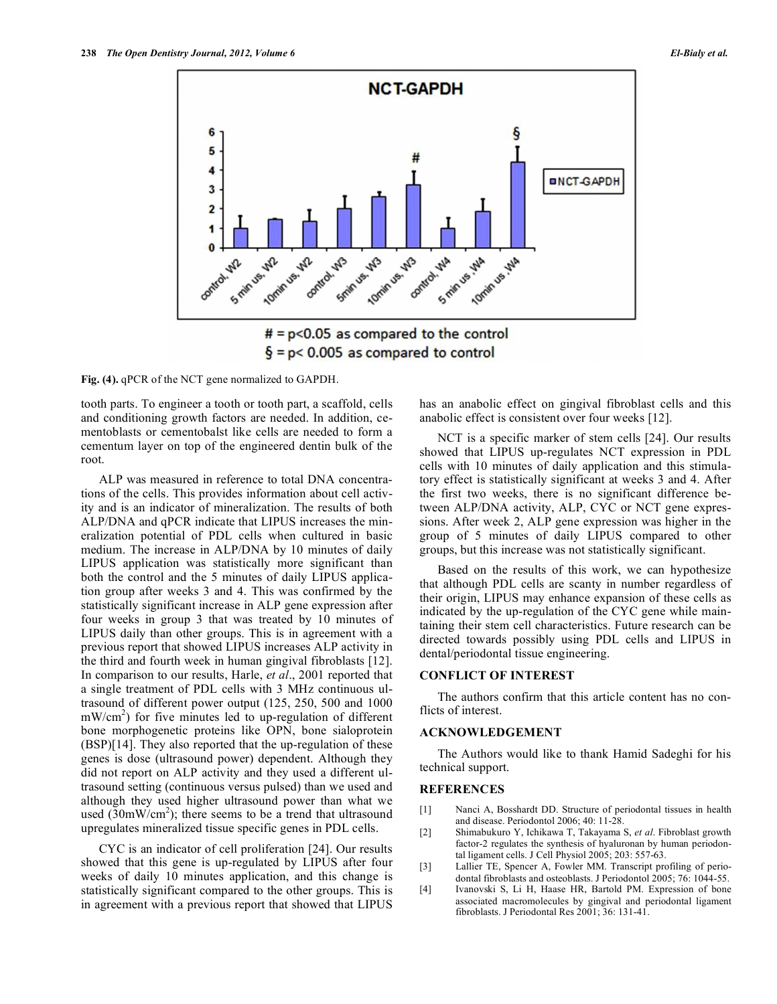

 $\frac{1}{2}$  = p< 0.005 as compared to control

**Fig. (4).** qPCR of the NCT gene normalized to GAPDH.

tooth parts. To engineer a tooth or tooth part, a scaffold, cells and conditioning growth factors are needed. In addition, cementoblasts or cementobalst like cells are needed to form a cementum layer on top of the engineered dentin bulk of the root.

ALP was measured in reference to total DNA concentrations of the cells. This provides information about cell activity and is an indicator of mineralization. The results of both ALP/DNA and qPCR indicate that LIPUS increases the mineralization potential of PDL cells when cultured in basic medium. The increase in ALP/DNA by 10 minutes of daily LIPUS application was statistically more significant than both the control and the 5 minutes of daily LIPUS application group after weeks 3 and 4. This was confirmed by the statistically significant increase in ALP gene expression after four weeks in group 3 that was treated by 10 minutes of LIPUS daily than other groups. This is in agreement with a previous report that showed LIPUS increases ALP activity in the third and fourth week in human gingival fibroblasts [12]. In comparison to our results, Harle, *et al*., 2001 reported that a single treatment of PDL cells with 3 MHz continuous ultrasound of different power output (125, 250, 500 and 1000  $mW/cm<sup>2</sup>$ ) for five minutes led to up-regulation of different bone morphogenetic proteins like OPN, bone sialoprotein (BSP)[14]. They also reported that the up-regulation of these genes is dose (ultrasound power) dependent. Although they did not report on ALP activity and they used a different ultrasound setting (continuous versus pulsed) than we used and although they used higher ultrasound power than what we used  $(30 \text{mW/cm}^2)$ ; there seems to be a trend that ultrasound upregulates mineralized tissue specific genes in PDL cells.

CYC is an indicator of cell proliferation [24]. Our results showed that this gene is up-regulated by LIPUS after four weeks of daily 10 minutes application, and this change is statistically significant compared to the other groups. This is in agreement with a previous report that showed that LIPUS has an anabolic effect on gingival fibroblast cells and this anabolic effect is consistent over four weeks [12].

NCT is a specific marker of stem cells [24]. Our results showed that LIPUS up-regulates NCT expression in PDL cells with 10 minutes of daily application and this stimulatory effect is statistically significant at weeks 3 and 4. After the first two weeks, there is no significant difference between ALP/DNA activity, ALP, CYC or NCT gene expressions. After week 2, ALP gene expression was higher in the group of 5 minutes of daily LIPUS compared to other groups, but this increase was not statistically significant.

Based on the results of this work, we can hypothesize that although PDL cells are scanty in number regardless of their origin, LIPUS may enhance expansion of these cells as indicated by the up-regulation of the CYC gene while maintaining their stem cell characteristics. Future research can be directed towards possibly using PDL cells and LIPUS in dental/periodontal tissue engineering.

# **CONFLICT OF INTEREST**

The authors confirm that this article content has no conflicts of interest.

# **ACKNOWLEDGEMENT**

The Authors would like to thank Hamid Sadeghi for his technical support.

#### **REFERENCES**

- [1] Nanci A, Bosshardt DD. Structure of periodontal tissues in health and disease. Periodontol 2006; 40: 11-28.
- [2] Shimabukuro Y, Ichikawa T, Takayama S, *et al*. Fibroblast growth factor-2 regulates the synthesis of hyaluronan by human periodontal ligament cells. J Cell Physiol 2005; 203: 557-63.
- [3] Lallier TE, Spencer A, Fowler MM. Transcript profiling of periodontal fibroblasts and osteoblasts. J Periodontol 2005; 76: 1044-55.
- [4] Ivanovski S, Li H, Haase HR, Bartold PM. Expression of bone associated macromolecules by gingival and periodontal ligament fibroblasts. J Periodontal Res 2001; 36: 131-41.